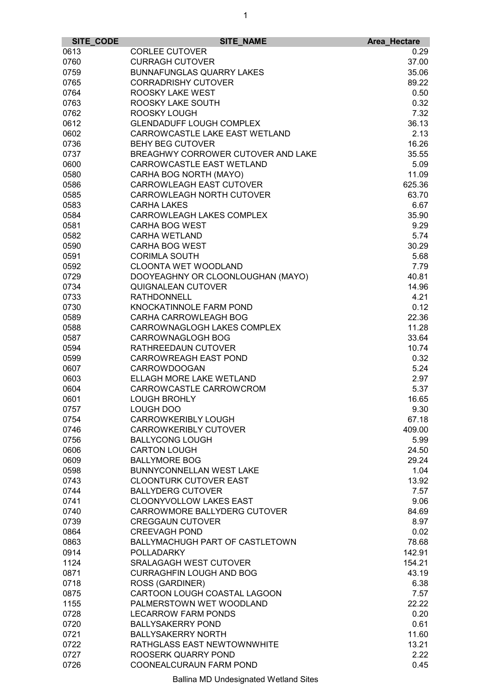| SITE_CODE | SITE_NAME                          | Area_Hectare |
|-----------|------------------------------------|--------------|
| 0613      | <b>CORLEE CUTOVER</b>              | 0.29         |
| 0760      | <b>CURRAGH CUTOVER</b>             | 37.00        |
| 0759      | <b>BUNNAFUNGLAS QUARRY LAKES</b>   | 35.06        |
| 0765      | <b>CORRADRISHY CUTOVER</b>         | 89.22        |
| 0764      | ROOSKY LAKE WEST                   | 0.50         |
| 0763      | ROOSKY LAKE SOUTH                  | 0.32         |
| 0762      | ROOSKY LOUGH                       | 7.32         |
| 0612      | <b>GLENDADUFF LOUGH COMPLEX</b>    | 36.13        |
| 0602      | CARROWCASTLE LAKE EAST WETLAND     | 2.13         |
| 0736      | <b>BEHY BEG CUTOVER</b>            | 16.26        |
| 0737      | BREAGHWY CORROWER CUTOVER AND LAKE | 35.55        |
| 0600      | CARROWCASTLE EAST WETLAND          | 5.09         |
| 0580      | CARHA BOG NORTH (MAYO)             | 11.09        |
| 0586      | <b>CARROWLEAGH EAST CUTOVER</b>    | 625.36       |
| 0585      | CARROWLEAGH NORTH CUTOVER          | 63.70        |
|           |                                    |              |
| 0583      | <b>CARHA LAKES</b>                 | 6.67         |
| 0584      | CARROWLEAGH LAKES COMPLEX          | 35.90        |
| 0581      | <b>CARHA BOG WEST</b>              | 9.29         |
| 0582      | <b>CARHA WETLAND</b>               | 5.74         |
| 0590      | <b>CARHA BOG WEST</b>              | 30.29        |
| 0591      | <b>CORIMLA SOUTH</b>               | 5.68         |
| 0592      | <b>CLOONTA WET WOODLAND</b>        | 7.79         |
| 0729      | DOOYEAGHNY OR CLOONLOUGHAN (MAYO)  | 40.81        |
| 0734      | QUIGNALEAN CUTOVER                 | 14.96        |
| 0733      | <b>RATHDONNELL</b>                 | 4.21         |
| 0730      | KNOCKATINNOLE FARM POND            | 0.12         |
| 0589      | CARHA CARROWLEAGH BOG              | 22.36        |
| 0588      | CARROWNAGLOGH LAKES COMPLEX        | 11.28        |
| 0587      | CARROWNAGLOGH BOG                  | 33.64        |
| 0594      | RATHREEDAUN CUTOVER                | 10.74        |
| 0599      | <b>CARROWREAGH EAST POND</b>       | 0.32         |
| 0607      | <b>CARROWDOOGAN</b>                | 5.24         |
| 0603      | ELLAGH MORE LAKE WETLAND           | 2.97         |
| 0604      | CARROWCASTLE CARROWCROM            | 5.37         |
| 0601      | <b>LOUGH BROHLY</b>                | 16.65        |
| 0757      | LOUGH DOO                          | 9.30         |
| 0754      | CARROWKERIBLY LOUGH                | 67.18        |
| 0746      | <b>CARROWKERIBLY CUTOVER</b>       | 409.00       |
| 0756      | <b>BALLYCONG LOUGH</b>             | 5.99         |
| 0606      | <b>CARTON LOUGH</b>                | 24.50        |
| 0609      | <b>BALLYMORE BOG</b>               | 29.24        |
| 0598      | BUNNYCONNELLAN WEST LAKE           | 1.04         |
| 0743      | <b>CLOONTURK CUTOVER EAST</b>      | 13.92        |
| 0744      | <b>BALLYDERG CUTOVER</b>           | 7.57         |
| 0741      | CLOONYVOLLOW LAKES EAST            | 9.06         |
| 0740      | CARROWMORE BALLYDERG CUTOVER       | 84.69        |
| 0739      | <b>CREGGAUN CUTOVER</b>            | 8.97         |
|           | <b>CREEVAGH POND</b>               | 0.02         |
| 0864      |                                    |              |
| 0863      | BALLYMACHUGH PART OF CASTLETOWN    | 78.68        |
| 0914      | <b>POLLADARKY</b>                  | 142.91       |
| 1124      | <b>SRALAGAGH WEST CUTOVER</b>      | 154.21       |
| 0871      | <b>CURRAGHFIN LOUGH AND BOG</b>    | 43.19        |
| 0718      | <b>ROSS (GARDINER)</b>             | 6.38         |
| 0875      | CARTOON LOUGH COASTAL LAGOON       | 7.57         |
| 1155      | PALMERSTOWN WET WOODLAND           | 22.22        |
| 0728      | <b>LECARROW FARM PONDS</b>         | 0.20         |
| 0720      | <b>BALLYSAKERRY POND</b>           | 0.61         |
| 0721      | <b>BALLYSAKERRY NORTH</b>          | 11.60        |
| 0722      | RATHGLASS EAST NEWTOWNWHITE        | 13.21        |
| 0727      | ROOSERK QUARRY POND                | 2.22         |
| 0726      | COONEALCURAUN FARM POND            | 0.45         |

Ballina MD Undesignated Wetland Sites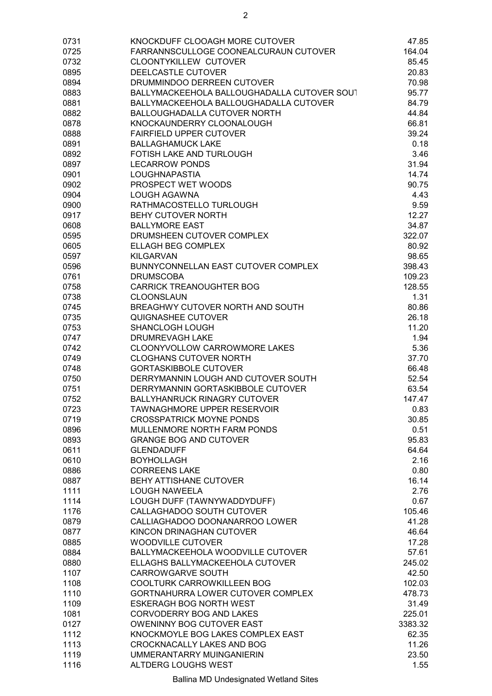| 0731 | KNOCKDUFF CLOOAGH MORE CUTOVER              | 47.85   |
|------|---------------------------------------------|---------|
| 0725 | FARRANNSCULLOGE COONEALCURAUN CUTOVER       | 164.04  |
| 0732 | <b>CLOONTYKILLEW CUTOVER</b>                | 85.45   |
| 0895 | DEELCASTLE CUTOVER                          | 20.83   |
| 0894 | DRUMMINDOO DERREEN CUTOVER                  | 70.98   |
| 0883 | BALLYMACKEEHOLA BALLOUGHADALLA CUTOVER SOUT | 95.77   |
| 0881 | BALLYMACKEEHOLA BALLOUGHADALLA CUTOVER      | 84.79   |
| 0882 | <b>BALLOUGHADALLA CUTOVER NORTH</b>         | 44.84   |
| 0878 | KNOCKAUNDERRY CLOONALOUGH                   | 66.81   |
| 0888 | <b>FAIRFIELD UPPER CUTOVER</b>              | 39.24   |
| 0891 | <b>BALLAGHAMUCK LAKE</b>                    | 0.18    |
| 0892 | FOTISH LAKE AND TURLOUGH                    | 3.46    |
| 0897 | <b>LECARROW PONDS</b>                       | 31.94   |
| 0901 | LOUGHNAPASTIA                               | 14.74   |
| 0902 | PROSPECT WET WOODS                          | 90.75   |
| 0904 | <b>LOUGH AGAWNA</b>                         | 4.43    |
| 0900 | RATHMACOSTELLO TURLOUGH                     | 9.59    |
| 0917 | <b>BEHY CUTOVER NORTH</b>                   | 12.27   |
| 0608 | <b>BALLYMORE EAST</b>                       | 34.87   |
| 0595 | DRUMSHEEN CUTOVER COMPLEX                   | 322.07  |
| 0605 | <b>ELLAGH BEG COMPLEX</b>                   | 80.92   |
| 0597 | <b>KILGARVAN</b>                            | 98.65   |
| 0596 | BUNNYCONNELLAN EAST CUTOVER COMPLEX         | 398.43  |
| 0761 | <b>DRUMSCOBA</b>                            | 109.23  |
| 0758 | <b>CARRICK TREANOUGHTER BOG</b>             | 128.55  |
| 0738 | <b>CLOONSLAUN</b>                           | 1.31    |
| 0745 | BREAGHWY CUTOVER NORTH AND SOUTH            | 80.86   |
| 0735 | QUIGNASHEE CUTOVER                          | 26.18   |
| 0753 | SHANCLOGH LOUGH                             | 11.20   |
| 0747 | <b>DRUMREVAGH LAKE</b>                      | 1.94    |
| 0742 | CLOONYVOLLOW CARROWMORE LAKES               | 5.36    |
| 0749 | <b>CLOGHANS CUTOVER NORTH</b>               | 37.70   |
| 0748 | <b>GORTASKIBBOLE CUTOVER</b>                | 66.48   |
| 0750 | DERRYMANNIN LOUGH AND CUTOVER SOUTH         | 52.54   |
| 0751 | DERRYMANNIN GORTASKIBBOLE CUTOVER           | 63.54   |
| 0752 | <b>BALLYHANRUCK RINAGRY CUTOVER</b>         | 147.47  |
| 0723 | TAWNAGHMORE UPPER RESERVOIR                 | 0.83    |
| 0719 | <b>CROSSPATRICK MOYNE PONDS</b>             | 30.85   |
| 0896 | MULLENMORE NORTH FARM PONDS                 | 0.51    |
| 0893 | <b>GRANGE BOG AND CUTOVER</b>               | 95.83   |
| 0611 | <b>GLENDADUFF</b>                           | 64.64   |
| 0610 | <b>BOYHOLLAGH</b>                           | 2.16    |
| 0886 | <b>CORREENS LAKE</b>                        | 0.80    |
| 0887 | BEHY ATTISHANE CUTOVER                      | 16.14   |
| 1111 | <b>LOUGH NAWEELA</b>                        | 2.76    |
| 1114 | LOUGH DUFF (TAWNYWADDYDUFF)                 | 0.67    |
| 1176 | CALLAGHADOO SOUTH CUTOVER                   | 105.46  |
| 0879 | CALLIAGHADOO DOONANARROO LOWER              | 41.28   |
| 0877 | KINCON DRINAGHAN CUTOVER                    | 46.64   |
| 0885 | <b>WOODVILLE CUTOVER</b>                    | 17.28   |
| 0884 | BALLYMACKEEHOLA WOODVILLE CUTOVER           | 57.61   |
| 0880 | ELLAGHS BALLYMACKEEHOLA CUTOVER             | 245.02  |
| 1107 | <b>CARROWGARVE SOUTH</b>                    | 42.50   |
| 1108 | COOLTURK CARROWKILLEEN BOG                  | 102.03  |
| 1110 | GORTNAHURRA LOWER CUTOVER COMPLEX           | 478.73  |
| 1109 | <b>ESKERAGH BOG NORTH WEST</b>              | 31.49   |
| 1081 | CORVODERRY BOG AND LAKES                    | 225.01  |
| 0127 | OWENINNY BOG CUTOVER EAST                   | 3383.32 |
| 1112 | KNOCKMOYLE BOG LAKES COMPLEX EAST           | 62.35   |
| 1113 | CROCKNACALLY LAKES AND BOG                  | 11.26   |
| 1119 | UMMERANTARRY MUINGANIERIN                   | 23.50   |
| 1116 | ALTDERG LOUGHS WEST                         | 1.55    |

Ballina MD Undesignated Wetland Sites